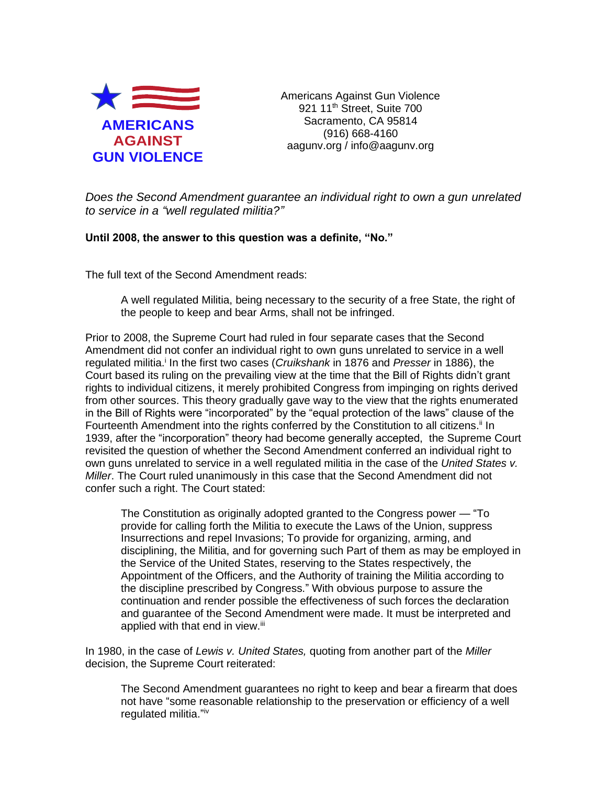

Americans Against Gun Violence 921 11<sup>th</sup> Street, Suite 700 Sacramento, CA 95814 (916) 668-4160 aagunv.org / info@aagunv.org

*Does the Second Amendment guarantee an individual right to own a gun unrelated to service in a "well regulated militia?"*

## **Until 2008, the answer to this question was a definite, "No."**

The full text of the Second Amendment reads:

A well regulated Militia, being necessary to the security of a free State, the right of the people to keep and bear Arms, shall not be infringed.

Prior to 2008, the Supreme Court had ruled in four separate cases that the Second Amendment did not confer an individual right to own guns unrelated to service in a well regulated militia.<sup>i</sup> In the first two cases (*Cruikshank* in 1876 and *Presser* in 1886), the Court based its ruling on the prevailing view at the time that the Bill of Rights didn't grant rights to individual citizens, it merely prohibited Congress from impinging on rights derived from other sources. This theory gradually gave way to the view that the rights enumerated in the Bill of Rights were "incorporated" by the "equal protection of the laws" clause of the Fourteenth Amendment into the rights conferred by the Constitution to all citizens.<sup>ii</sup> In 1939, after the "incorporation" theory had become generally accepted, the Supreme Court revisited the question of whether the Second Amendment conferred an individual right to own guns unrelated to service in a well regulated militia in the case of the *United States v. Miller*. The Court ruled unanimously in this case that the Second Amendment did not confer such a right. The Court stated:

The Constitution as originally adopted granted to the Congress power — "To provide for calling forth the Militia to execute the Laws of the Union, suppress Insurrections and repel Invasions; To provide for organizing, arming, and disciplining, the Militia, and for governing such Part of them as may be employed in the Service of the United States, reserving to the States respectively, the Appointment of the Officers, and the Authority of training the Militia according to the discipline prescribed by Congress." With obvious purpose to assure the continuation and render possible the effectiveness of such forces the declaration and guarantee of the Second Amendment were made. It must be interpreted and applied with that end in view.<sup>iii</sup>

In 1980, in the case of *Lewis v. United States,* quoting from another part of the *Miller* decision, the Supreme Court reiterated:

The Second Amendment guarantees no right to keep and bear a firearm that does not have "some reasonable relationship to the preservation or efficiency of a well regulated militia."<sup>iv</sup>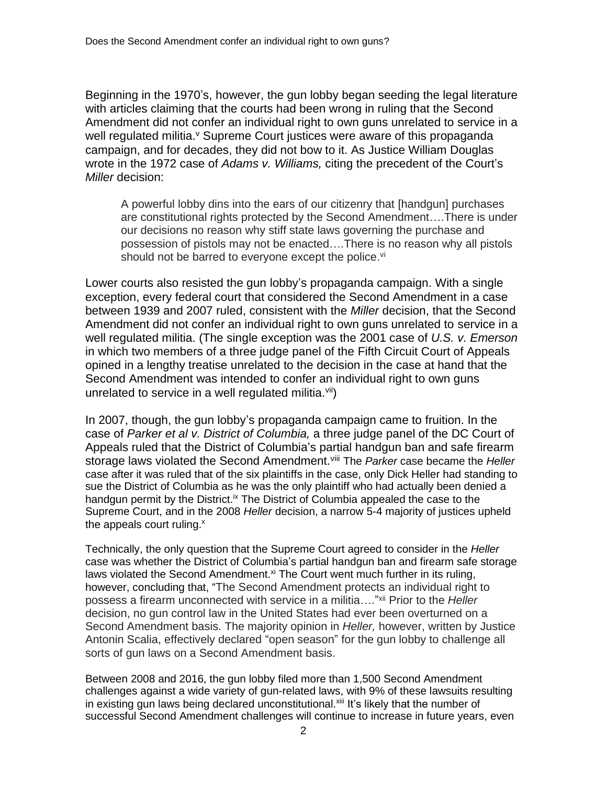Beginning in the 1970's, however, the gun lobby began seeding the legal literature with articles claiming that the courts had been wrong in ruling that the Second Amendment did not confer an individual right to own guns unrelated to service in a well regulated militia.<sup>v</sup> Supreme Court justices were aware of this propaganda campaign, and for decades, they did not bow to it. As Justice William Douglas wrote in the 1972 case of *Adams v. Williams,* citing the precedent of the Court's *Miller* decision:

A powerful lobby dins into the ears of our citizenry that [handgun] purchases are constitutional rights protected by the Second Amendment….There is under our decisions no reason why stiff state laws governing the purchase and possession of pistols may not be enacted….There is no reason why all pistols should not be barred to everyone except the police.<sup>vi</sup>

Lower courts also resisted the gun lobby's propaganda campaign. With a single exception, every federal court that considered the Second Amendment in a case between 1939 and 2007 ruled, consistent with the *Miller* decision, that the Second Amendment did not confer an individual right to own guns unrelated to service in a well regulated militia. (The single exception was the 2001 case of *U.S. v. Emerson* in which two members of a three judge panel of the Fifth Circuit Court of Appeals opined in a lengthy treatise unrelated to the decision in the case at hand that the Second Amendment was intended to confer an individual right to own guns unrelated to service in a well regulated militia. $vii)$ 

In 2007, though, the gun lobby's propaganda campaign came to fruition. In the case of *Parker et al v. District of Columbia,* a three judge panel of the DC Court of Appeals ruled that the District of Columbia's partial handgun ban and safe firearm storage laws violated the Second Amendment.viii The *Parker* case became the *Heller*  case after it was ruled that of the six plaintiffs in the case, only Dick Heller had standing to sue the District of Columbia as he was the only plaintiff who had actually been denied a handgun permit by the District.<sup>ix</sup> The District of Columbia appealed the case to the Supreme Court, and in the 2008 *Heller* decision, a narrow 5-4 majority of justices upheld the appeals court ruling.<sup>x</sup>

Technically, the only question that the Supreme Court agreed to consider in the *Heller*  case was whether the District of Columbia's partial handgun ban and firearm safe storage laws violated the Second Amendment.<sup>xi</sup> The Court went much further in its ruling, however, concluding that, "The Second Amendment protects an individual right to possess a firearm unconnected with service in a militia…." xii Prior to the *Heller*  decision, no gun control law in the United States had ever been overturned on a Second Amendment basis. The majority opinion in *Heller,* however, written by Justice Antonin Scalia, effectively declared "open season" for the gun lobby to challenge all sorts of gun laws on a Second Amendment basis.

Between 2008 and 2016, the gun lobby filed more than 1,500 Second Amendment challenges against a wide variety of gun-related laws, with 9% of these lawsuits resulting in existing gun laws being declared unconstitutional.xill It's likely that the number of successful Second Amendment challenges will continue to increase in future years, even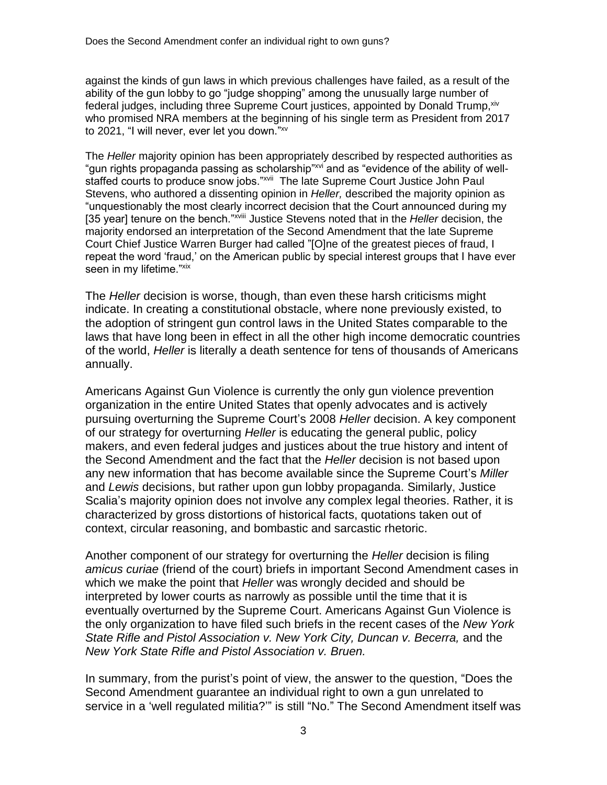against the kinds of gun laws in which previous challenges have failed, as a result of the ability of the gun lobby to go "judge shopping" among the unusually large number of federal judges, including three Supreme Court justices, appointed by Donald Trump, xiv who promised NRA members at the beginning of his single term as President from 2017 to 2021, "I will never, ever let you down." xv

The *Heller* majority opinion has been appropriately described by respected authorities as "gun rights propaganda passing as scholarship"xvi and as "evidence of the ability of wellstaffed courts to produce snow jobs."<sup>xvii</sup> The late Supreme Court Justice John Paul Stevens, who authored a dissenting opinion in *Heller,* described the majority opinion as "unquestionably the most clearly incorrect decision that the Court announced during my [35 year] tenure on the bench."<sup>xviii</sup> Justice Stevens noted that in the *Heller* decision, the majority endorsed an interpretation of the Second Amendment that the late Supreme Court Chief Justice Warren Burger had called "[O]ne of the greatest pieces of fraud, I repeat the word 'fraud,' on the American public by special interest groups that I have ever seen in my lifetime."xix

The *Heller* decision is worse, though, than even these harsh criticisms might indicate. In creating a constitutional obstacle, where none previously existed, to the adoption of stringent gun control laws in the United States comparable to the laws that have long been in effect in all the other high income democratic countries of the world, *Heller* is literally a death sentence for tens of thousands of Americans annually.

Americans Against Gun Violence is currently the only gun violence prevention organization in the entire United States that openly advocates and is actively pursuing overturning the Supreme Court's 2008 *Heller* decision. A key component of our strategy for overturning *Heller* is educating the general public, policy makers, and even federal judges and justices about the true history and intent of the Second Amendment and the fact that the *Heller* decision is not based upon any new information that has become available since the Supreme Court's *Miller*  and *Lewis* decisions, but rather upon gun lobby propaganda. Similarly, Justice Scalia's majority opinion does not involve any complex legal theories. Rather, it is characterized by gross distortions of historical facts, quotations taken out of context, circular reasoning, and bombastic and sarcastic rhetoric.

Another component of our strategy for overturning the *Heller* decision is filing *amicus curiae* (friend of the court) briefs in important Second Amendment cases in which we make the point that *Heller* was wrongly decided and should be interpreted by lower courts as narrowly as possible until the time that it is eventually overturned by the Supreme Court. Americans Against Gun Violence is the only organization to have filed such briefs in the recent cases of the *New York State Rifle and Pistol Association v. New York City, Duncan v. Becerra,* and the *New York State Rifle and Pistol Association v. Bruen.*

In summary, from the purist's point of view, the answer to the question, "Does the Second Amendment guarantee an individual right to own a gun unrelated to service in a 'well regulated militia?" is still "No." The Second Amendment itself was